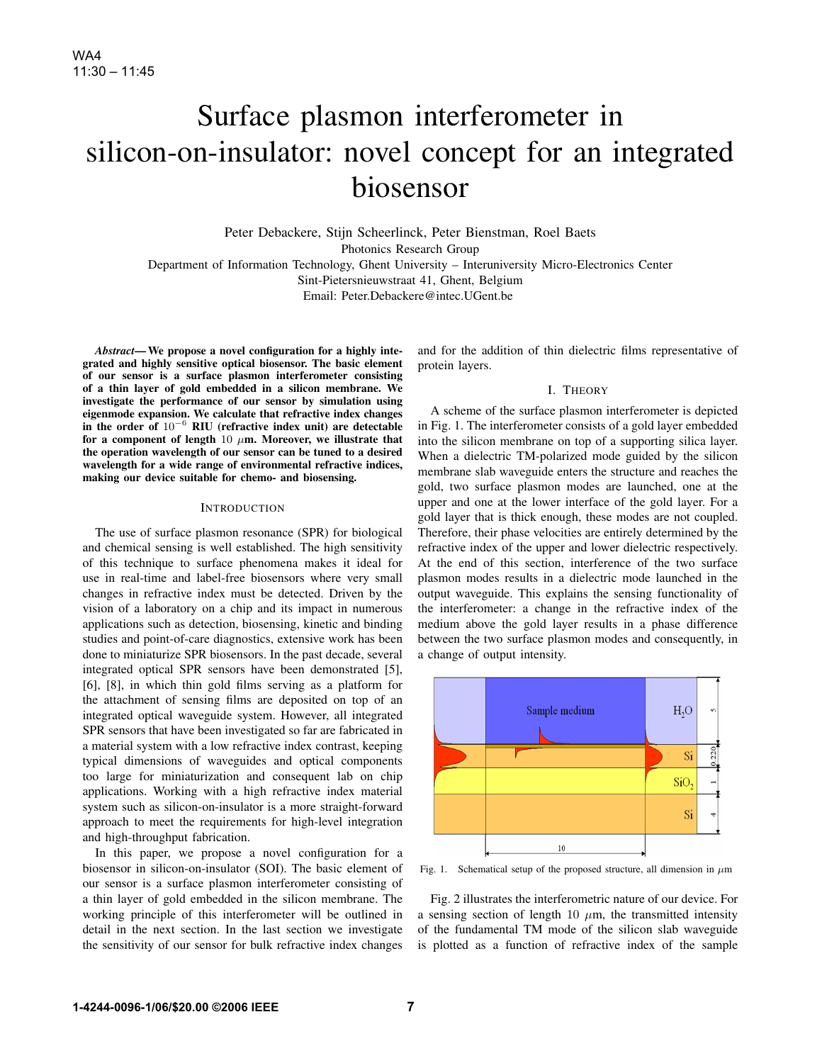# Surface plasmon interferometer in silicon-on-insulator: novel concept for an integrated biosensor

Peter Debackere, Stijn Scheerlinck, Peter Bienstman, Roel Baets Photonics Research Group Department of Information Technology, Ghent University – Interuniversity Micro-Electronics Center Sint-Pietersnieuwstraat 41, Ghent, Belgium Email: Peter.Debackere@intec.UGent.be

*Abstract*— We propose a novel configuration for a highly integrated and highly sensitive optical biosensor. The basic element of our sensor is a surface plasmon interferometer consisting of a thin layer of gold embedded in a silicon membrane. We investigate the performance of our sensor by simulation using eigenmode expansion. We calculate that refractive index changes in the order of 10<sup>−</sup><sup>6</sup> RIU (refractive index unit) are detectable for a component of length 10  $\mu$ m. Moreover, we illustrate that the operation wavelength of our sensor can be tuned to a desired wavelength for a wide range of environmental refractive indices, making our device suitable for chemo- and biosensing.

## **INTRODUCTION**

The use of surface plasmon resonance (SPR) for biological and chemical sensing is well established. The high sensitivity of this technique to surface phenomena makes it ideal for use in real-time and label-free biosensors where very small changes in refractive index must be detected. Driven by the vision of a laboratory on a chip and its impact in numerous applications such as detection, biosensing, kinetic and binding studies and point-of-care diagnostics, extensive work has been done to miniaturize SPR biosensors. In the past decade, several integrated optical SPR sensors have been demonstrated [5], [6], [8], in which thin gold films serving as a platform for the attachment of sensing films are deposited on top of an integrated optical waveguide system. However, all integrated SPR sensors that have been investigated so far are fabricated in a material system with a low refractive index contrast, keeping typical dimensions of waveguides and optical components too large for miniaturization and consequent lab on chip applications. Working with a high refractive index material system such as silicon-on-insulator is a more straight-forward approach to meet the requirements for high-level integration and high-throughput fabrication.

In this paper, we propose a novel configuration for a biosensor in silicon-on-insulator (SOI). The basic element of our sensor is a surface plasmon interferometer consisting of a thin layer of gold embedded in the silicon membrane. The working principle of this interferometer will be outlined in detail in the next section. In the last section we investigate the sensitivity of our sensor for bulk refractive index changes

and for the addition of thin dielectric films representative of protein layers.

## I. THEORY

A scheme of the surface plasmon interferometer is depicted in Fig. 1. The interferometer consists of a gold layer embedded into the silicon membrane on top of a supporting silica layer. When a dielectric TM-polarized mode guided by the silicon membrane slab waveguide enters the structure and reaches the gold, two surface plasmon modes are launched, one at the upper and one at the lower interface of the gold layer. For a gold layer that is thick enough, these modes are not coupled. Therefore, their phase velocities are entirely determined by the refractive index of the upper and lower dielectric respectively. At the end of this section, interference of the two surface plasmon modes results in a dielectric mode launched in the output waveguide. This explains the sensing functionality of the interferometer: a change in the refractive index of the medium above the gold layer results in a phase difference between the two surface plasmon modes and consequently, in a change of output intensity.



Fig. 1. Schematical setup of the proposed structure, all dimension in  $\mu$ m

Fig. 2 illustrates the interferometric nature of our device. For a sensing section of length 10  $\mu$ m, the transmitted intensity of the fundamental TM mode of the silicon slab waveguide is plotted as a function of refractive index of the sample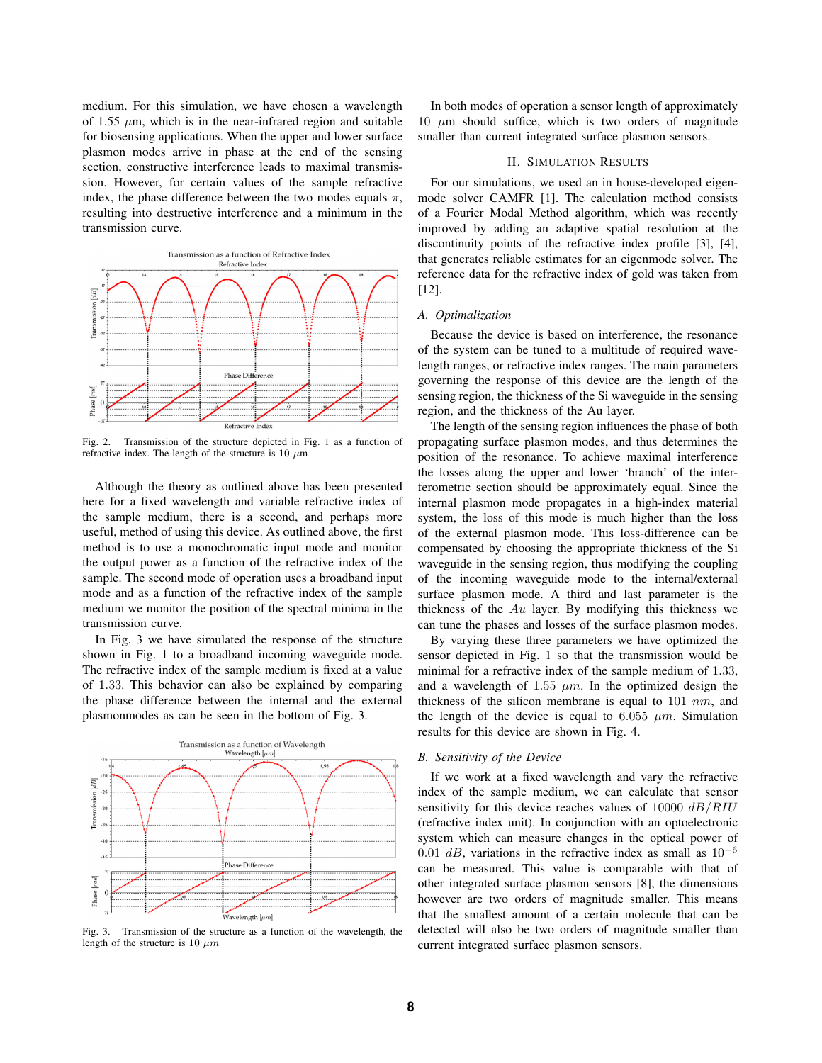medium. For this simulation, we have chosen a wavelength of 1.55  $\mu$ m, which is in the near-infrared region and suitable for biosensing applications. When the upper and lower surface plasmon modes arrive in phase at the end of the sensing section, constructive interference leads to maximal transmission. However, for certain values of the sample refractive index, the phase difference between the two modes equals  $\pi$ , resulting into destructive interference and a minimum in the transmission curve.



Fig. 2. Transmission of the structure depicted in Fig. 1 as a function of refractive index. The length of the structure is 10  $\mu$ m

Although the theory as outlined above has been presented here for a fixed wavelength and variable refractive index of the sample medium, there is a second, and perhaps more useful, method of using this device. As outlined above, the first method is to use a monochromatic input mode and monitor the output power as a function of the refractive index of the sample. The second mode of operation uses a broadband input mode and as a function of the refractive index of the sample medium we monitor the position of the spectral minima in the transmission curve.

In Fig. 3 we have simulated the response of the structure shown in Fig. 1 to a broadband incoming waveguide mode. The refractive index of the sample medium is fixed at a value of 1.33. This behavior can also be explained by comparing the phase difference between the internal and the external plasmonmodes as can be seen in the bottom of Fig. 3.



Fig. 3. Transmission of the structure as a function of the wavelength, the length of the structure is 10  $\mu$ m

In both modes of operation a sensor length of approximately 10  $\mu$ m should suffice, which is two orders of magnitude smaller than current integrated surface plasmon sensors.

## II. SIMULATION RESULTS

For our simulations, we used an in house-developed eigenmode solver CAMFR [1]. The calculation method consists of a Fourier Modal Method algorithm, which was recently improved by adding an adaptive spatial resolution at the discontinuity points of the refractive index profile [3], [4], that generates reliable estimates for an eigenmode solver. The reference data for the refractive index of gold was taken from [12].

#### *A. Optimalization*

Because the device is based on interference, the resonance of the system can be tuned to a multitude of required wavelength ranges, or refractive index ranges. The main parameters governing the response of this device are the length of the sensing region, the thickness of the Si waveguide in the sensing region, and the thickness of the Au layer.

The length of the sensing region influences the phase of both propagating surface plasmon modes, and thus determines the position of the resonance. To achieve maximal interference the losses along the upper and lower 'branch' of the interferometric section should be approximately equal. Since the internal plasmon mode propagates in a high-index material system, the loss of this mode is much higher than the loss of the external plasmon mode. This loss-difference can be compensated by choosing the appropriate thickness of the Si waveguide in the sensing region, thus modifying the coupling of the incoming waveguide mode to the internal/external surface plasmon mode. A third and last parameter is the thickness of the  $Au$  layer. By modifying this thickness we can tune the phases and losses of the surface plasmon modes.

By varying these three parameters we have optimized the sensor depicted in Fig. 1 so that the transmission would be minimal for a refractive index of the sample medium of 1.33, and a wavelength of 1.55  $\mu$ m. In the optimized design the thickness of the silicon membrane is equal to  $101 \ nm$ , and the length of the device is equal to 6.055  $\mu$ m. Simulation results for this device are shown in Fig. 4.

### *B. Sensitivity of the Device*

If we work at a fixed wavelength and vary the refractive index of the sample medium, we can calculate that sensor sensitivity for this device reaches values of  $10000$   $dB/RIU$ (refractive index unit). In conjunction with an optoelectronic system which can measure changes in the optical power of 0.01 dB, variations in the refractive index as small as  $10^{-6}$ can be measured. This value is comparable with that of other integrated surface plasmon sensors [8], the dimensions however are two orders of magnitude smaller. This means that the smallest amount of a certain molecule that can be detected will also be two orders of magnitude smaller than current integrated surface plasmon sensors.